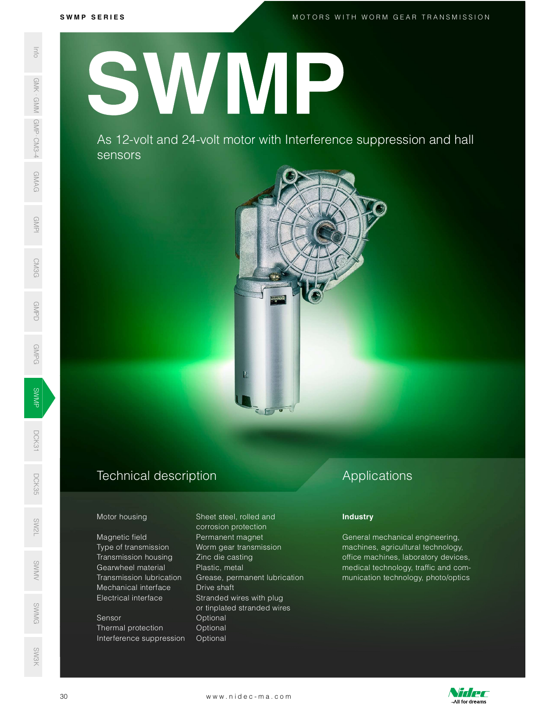M O T O R S W I T H W O R M G E A R T R A N S M I S S I O N

S W M P S E R I E S<br>N M P S E R I E S<br>N M P S E R I E S H P S H P S H P S H P S H P S H P S H P S H P S H P S H P S H P S H P S H P S H P S H P S H SWAS 12-VC<br>
SERIES AS 12-VC<br>
SERIES AS 12-VC<br>
SERIES AS 12-VC<br>
SERIES AS 12-VC<br>
SERIES AS 12-VC<br>
Motor housing<br>
Magnetic field<br>
Transmission<br>
Transmission<br>
Mechanical interference s<br>
SERIES Transmission<br>
Transmission<br>
Tran SWMP

As 12 -volt and 24 -volt motor with Interference suppression and hall sensors



#### Technical description D<sub>CK</sub><br>35<br>55

Magnetic field **Permanent magnet** Type of transmission Worm gear transmission Transmission housing Zinc die casting Gearwheel material Plastic, metal Mechanical interface Drive shaft SW<br>No. 1986<br>No. 1986 SWEET CONTRACTOR CONTRACTOR<br>
SENSING Transmission lubrication

# SWMG

Thermal protection Optional Interference suppression Optional

Motor housing Sheet steel, rolled and corrosion protection Grease, permanent lubrication Electrical interface Stranded wires with plug or tinplated stranded wires Sensor **Optional** Mechanical interface Drive shaft<br>
Electrical interface Stranded wires with plug<br>
or tinplated stranded wires<br>
Sensor Optional<br>
Interference suppression Optional<br>
Interference suppression Optional<br>
www.nidec-ma.com

## Applications

#### **Industry**

General mechanical engineering, machines, agricultural technology, office machines, laboratory devices, medical technology, traffic and communication technology, photo/optics



SW3K

DCK31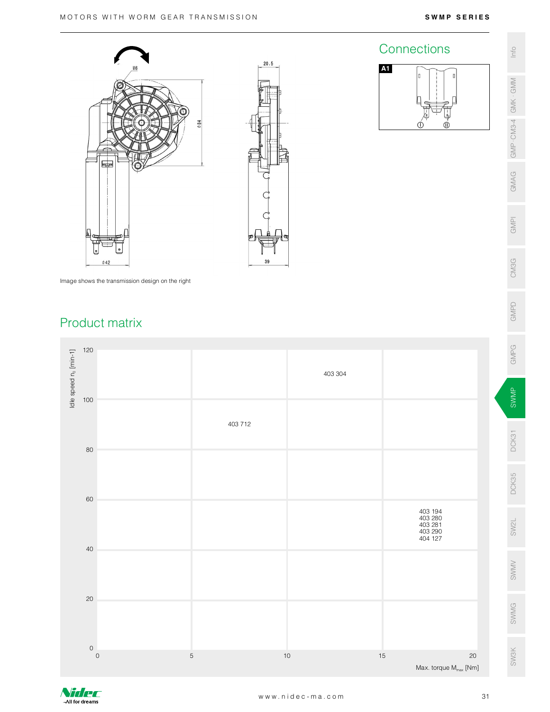Connections  $\frac{2}{3}$ 

A1



Image shows the transmission design on the right

### Product matrix



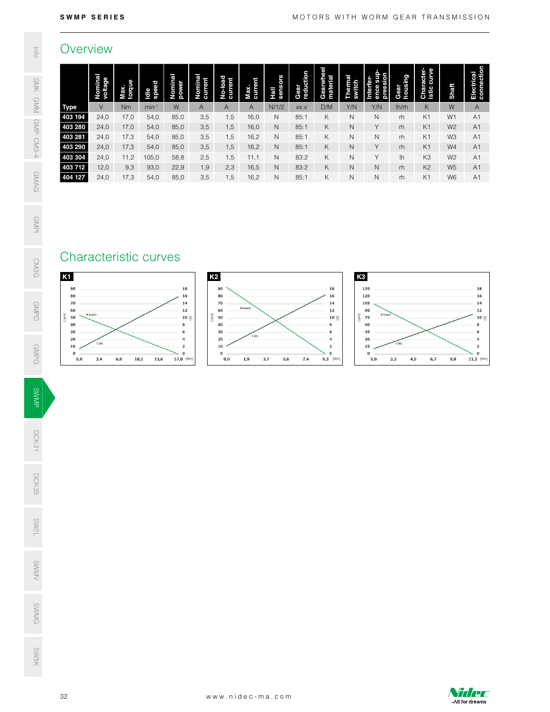### **Overview**

| Overview                                                                       |                              |                      |                          |                                                                                                                    |                                    |                                                                    |                                   |                              |                           |                                                                                                                             |                             |                                                                                 |                          |                                       |                      |                                                                                                             |
|--------------------------------------------------------------------------------|------------------------------|----------------------|--------------------------|--------------------------------------------------------------------------------------------------------------------|------------------------------------|--------------------------------------------------------------------|-----------------------------------|------------------------------|---------------------------|-----------------------------------------------------------------------------------------------------------------------------|-----------------------------|---------------------------------------------------------------------------------|--------------------------|---------------------------------------|----------------------|-------------------------------------------------------------------------------------------------------------|
|                                                                                | Nominal<br>voltage<br>$\vee$ | Max.<br>torque<br>Nm | Idle<br>speed<br>$min-1$ | Nominal<br>power<br>W                                                                                              | Nominal<br>current<br>$\mathsf{A}$ | No-load<br>current<br>$\mathsf{A}$                                 | Max.<br>current<br>$\overline{A}$ | Hall<br>sensors<br>N/1/2     | Gear<br>reduction<br>XX:X | Gearwhee<br>material<br>D/M                                                                                                 | Thermal<br>switch<br>Y/N    | Interfer-<br>ence sup<br>pression<br>Y/N                                        | housing<br>Gear<br>lh/rh | <b>Character-</b><br>istic curve<br>K | Shaft<br>W           | Electrical<br>connection<br>$\mathsf{A}$                                                                    |
| <b>Type</b><br>403 194                                                         | 24,0                         | 17,0                 | 54,0                     | 85,0                                                                                                               | 3,5                                | 1,5                                                                | 16,0                              | $\mathsf{N}$                 | 85:1                      | K                                                                                                                           | $\,$ N                      | $\mathsf N$                                                                     | rh                       | K <sub>1</sub>                        | W1                   | A <sub>1</sub>                                                                                              |
| 403 280<br>403 281                                                             | 24,0<br>24,0                 | 17,0<br>17,3         | 54,0<br>54,0             | 85,0<br>85,0                                                                                                       | 3,5<br>3,5                         | 1,5<br>1,5                                                         | 16,0<br>16,2                      | $\mathsf{N}$<br>$\mathsf{N}$ | 85:1<br>85:1              | K<br>K                                                                                                                      | $\hbox{N}$<br>$\mathsf{N}$  | Y<br>$\mathsf{N}$                                                               | rh<br>rh                 | K1<br>K1                              | W <sub>2</sub><br>W3 | A1<br>A <sub>1</sub>                                                                                        |
| 403 290<br>403 304                                                             | 24,0<br>24,0                 | 17,3<br>11,2         | 54,0<br>105,0            | 85,0<br>58,8                                                                                                       | 3,5<br>2,5                         | 1,5<br>1,5                                                         | 16,2<br>11,1                      | $\mathsf{N}$<br>N            | 85:1<br>83:2              | K<br>K                                                                                                                      | $\mathsf{N}$<br>$\mathsf N$ | Y<br>Y                                                                          | rh<br>lh                 | K <sub>1</sub><br>K3                  | W4<br>W <sub>2</sub> | A1<br>A <sub>1</sub>                                                                                        |
| 403 712                                                                        | 12,0                         | 9,3                  | 93,0                     | 22,9                                                                                                               | 1,9                                | 2,3                                                                | 16,5                              | $\mathsf{N}$                 | 83:2                      | К                                                                                                                           | $\mathsf N$                 | $\mathsf{N}$                                                                    | rh                       | K <sub>2</sub>                        | W <sub>5</sub>       | A <sub>1</sub>                                                                                              |
| 404 127                                                                        | 24,0                         | 17,3                 | 54,0                     | 85,0                                                                                                               | 3,5                                | 1,5                                                                | 16,2                              | $\hbox{N}$                   | 85:1                      | К                                                                                                                           | $\hbox{N}$                  | $\mathsf{N}$                                                                    | rh                       | K1                                    | W6                   | A <sub>1</sub>                                                                                              |
| 80<br>70<br>60<br>N (rpm)<br>50<br>40<br>30<br>20<br>10<br>$\mathbf 0$<br>0, 0 | I(A)<br>3,4<br>6,8           | 10,2                 | 13,6                     | 16<br>14<br>12<br>10 $\mathfrak{S}$<br>$\bf8$<br>6<br>$\overline{a}$<br>$\overline{a}$<br>$\mathbf 0$<br>17,0 (Nm) | $_{\rm (ppn)}$                     | 80<br>70<br>60<br>50<br>40<br>30<br>20<br>10<br>$\mathbf 0$<br>0,0 | N (rpm)<br>I (A)<br>1,9           | 3,7<br>5,6                   | 7,4                       | 16<br>14<br>$12\,$<br>10 $\mathfrak{S}$<br>8<br>6<br>$\overline{a}$<br>$\overline{\mathbf{z}}$<br>$\mathbf 0$<br>$9,3$ (Nm) | (mu)                        | 120<br>105<br>90<br>N (rpm)<br>75<br>60<br>45<br>30<br>15<br>$\mathbf 0$<br>0,0 | I(A)<br>2,2<br>4,5       | 6,7                                   | 9,0                  | 16<br>14<br>$12\,$<br>10 $\leq$<br>8<br>6<br>$\overline{a}$<br>$\overline{2}$<br>$\mathbf 0$<br>$11,2$ (Nm) |
|                                                                                |                              |                      |                          |                                                                                                                    |                                    |                                                                    |                                   |                              |                           |                                                                                                                             |                             |                                                                                 |                          |                                       |                      |                                                                                                             |
|                                                                                |                              |                      |                          |                                                                                                                    |                                    |                                                                    |                                   |                              |                           |                                                                                                                             |                             |                                                                                 |                          |                                       |                      |                                                                                                             |
|                                                                                |                              |                      |                          |                                                                                                                    |                                    |                                                                    |                                   |                              |                           |                                                                                                                             |                             |                                                                                 |                          |                                       |                      |                                                                                                             |
|                                                                                |                              |                      |                          |                                                                                                                    |                                    |                                                                    |                                   |                              |                           |                                                                                                                             |                             |                                                                                 |                          |                                       |                      |                                                                                                             |
|                                                                                |                              |                      |                          |                                                                                                                    |                                    |                                                                    |                                   |                              |                           |                                                                                                                             |                             |                                                                                 |                          |                                       |                      |                                                                                                             |
|                                                                                |                              |                      |                          |                                                                                                                    |                                    |                                                                    |                                   |                              |                           |                                                                                                                             |                             |                                                                                 |                          |                                       |                      |                                                                                                             |
|                                                                                |                              |                      |                          |                                                                                                                    |                                    |                                                                    |                                   |                              |                           |                                                                                                                             |                             |                                                                                 |                          |                                       |                      |                                                                                                             |

## Characteristic curves